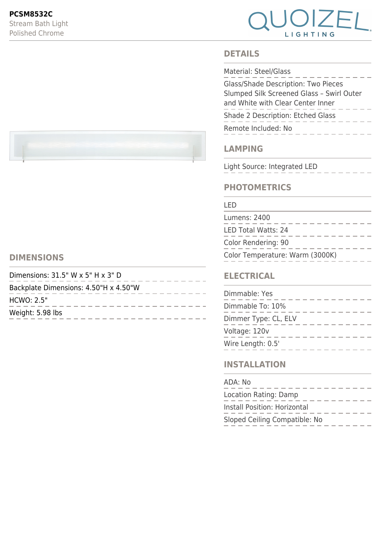

### **DETAILS**

| Material: Steel/Glass                                                                                                        |
|------------------------------------------------------------------------------------------------------------------------------|
| <b>Glass/Shade Description: Two Pieces</b><br>Slumped Silk Screened Glass - Swirl Outer<br>and White with Clear Center Inner |
| Shade 2 Description: Etched Glass                                                                                            |
| Remote Included: No                                                                                                          |

## **LAMPING**

Light Source: Integrated LED

## **PHOTOMETRICS**

#### LED

| Lumens: 2400                    |
|---------------------------------|
| <b>LED Total Watts: 24</b>      |
| Color Rendering: 90             |
| Color Temperature: Warm (3000K) |

### **ELECTRICAL**

| Dimmable: Yes        |  |
|----------------------|--|
| Dimmable To: 10%     |  |
| Dimmer Type: CL, ELV |  |
| Voltage: 120v        |  |
| Wire Length: 0.5'    |  |

## **INSTALLATION**

| ADA: No                       |
|-------------------------------|
| Location Rating: Damp         |
| Install Position: Horizontal  |
| Sloped Ceiling Compatible: No |



# **DIMENSIONS**

| Dimensions: $31.5$ " W x $5$ " H x $3$ " D |  |  |
|--------------------------------------------|--|--|
| Backplate Dimensions: 4.50"H x 4.50"W      |  |  |
| HCWO: 2.5"                                 |  |  |
| Weight: 5.98 lbs                           |  |  |